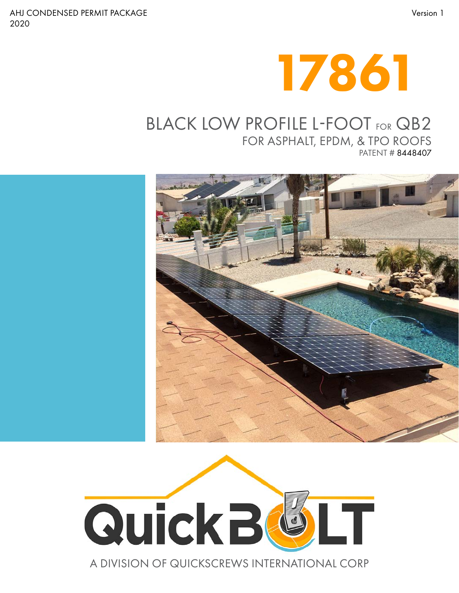



### BLACK LOW PROFILE L-FOOT FOR QB2

FOR ASPHALT, EPDM, & TPO ROOFS PATENT # 8448407





#### A DIVISION OF QUICKSCREWS INTERNATIONAL CORP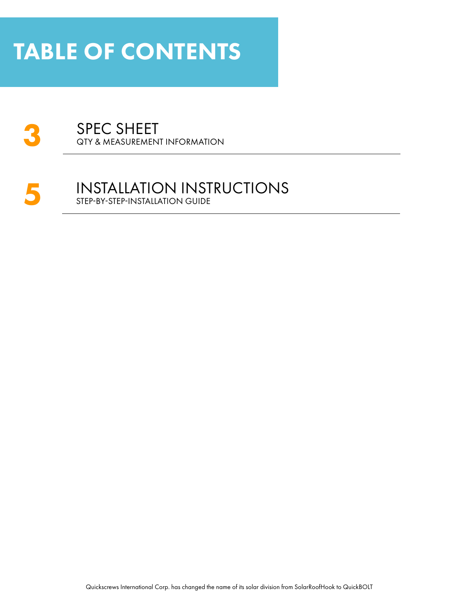## TABLE OF CONTENTS

### **3** SPEC SHEET QTY & MEASUREMENT INFORMATION

#### **5** INSTALLATION INSTRUCTIONS STEP-BY-STEP-INSTALLATION GUIDE

Quickscrews International Corp. has changed the name of its solar division from SolarRoofHook to QuickBOLT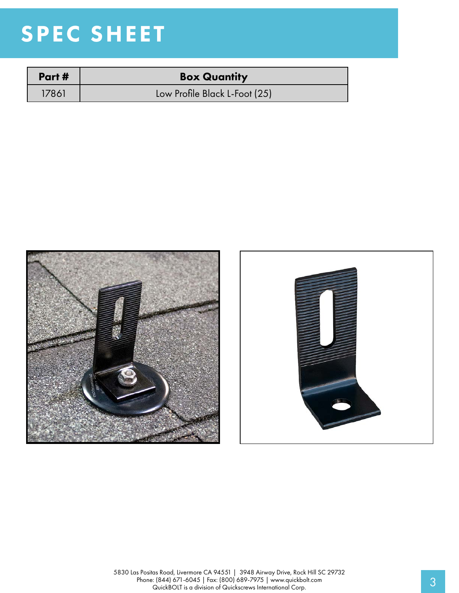# SPEC SHEET

| Part # | <b>Box Quantity</b>           |
|--------|-------------------------------|
| 17861. | Low Profile Black L-Foot (25) |



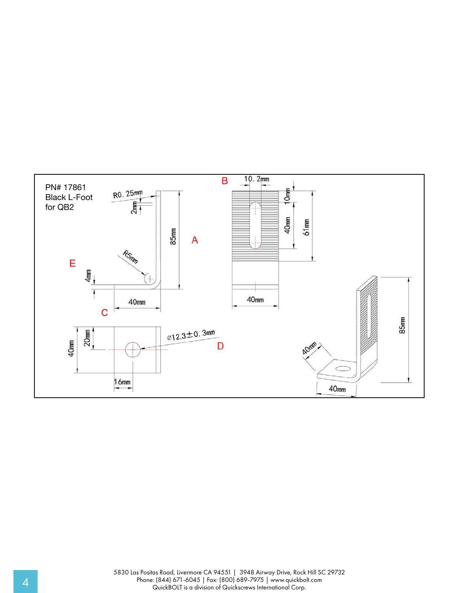

5830 Las Positas Road, Livermore CA 94551 | 3948 Airway Drive, Rock Hill SC 29732 Phone: (844) 671-6045 | Fax: (800) 689-7975 | www.quickbolt.com 4 QuickBOLT is a division of Quickscrews International Corp.